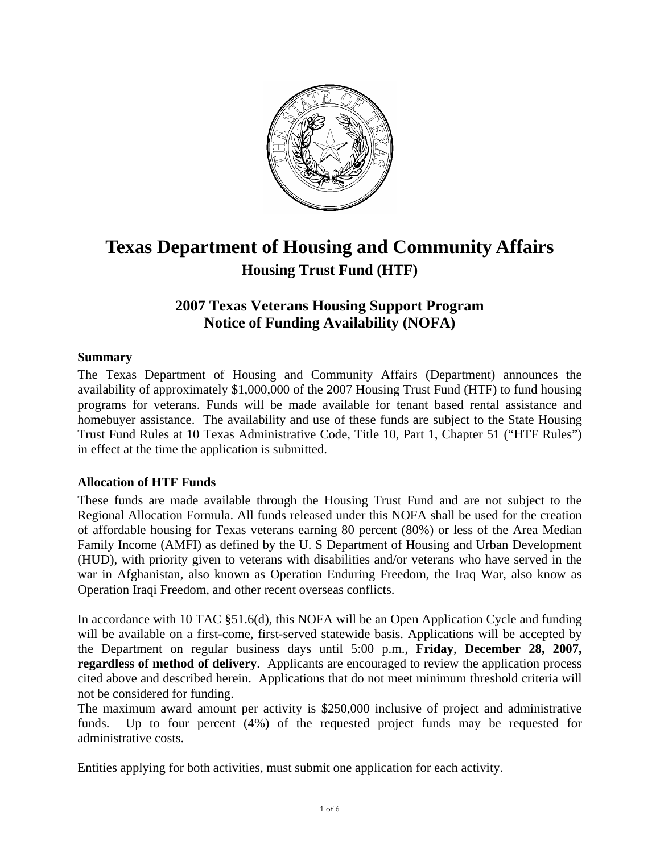

# **Texas Department of Housing and Community Affairs Housing Trust Fund (HTF)**

# **2007 Texas Veterans Housing Support Program Notice of Funding Availability (NOFA)**

# **Summary**

The Texas Department of Housing and Community Affairs (Department) announces the availability of approximately \$1,000,000 of the 2007 Housing Trust Fund (HTF) to fund housing programs for veterans. Funds will be made available for tenant based rental assistance and homebuyer assistance. The availability and use of these funds are subject to the State Housing Trust Fund Rules at 10 Texas Administrative Code, Title 10, Part 1, Chapter 51 ("HTF Rules") in effect at the time the application is submitted.

# **Allocation of HTF Funds**

These funds are made available through the Housing Trust Fund and are not subject to the Regional Allocation Formula. All funds released under this NOFA shall be used for the creation of affordable housing for Texas veterans earning 80 percent (80%) or less of the Area Median Family Income (AMFI) as defined by the U. S Department of Housing and Urban Development (HUD), with priority given to veterans with disabilities and/or veterans who have served in the war in Afghanistan, also known as Operation Enduring Freedom, the Iraq War, also know as Operation Iraqi Freedom, and other recent overseas conflicts.

In accordance with 10 TAC §51.6(d), this NOFA will be an Open Application Cycle and funding will be available on a first-come, first-served statewide basis. Applications will be accepted by the Department on regular business days until 5:00 p.m., **Friday**, **December 28, 2007, regardless of method of delivery**. Applicants are encouraged to review the application process cited above and described herein. Applications that do not meet minimum threshold criteria will not be considered for funding.

The maximum award amount per activity is \$250,000 inclusive of project and administrative funds. Up to four percent (4%) of the requested project funds may be requested for administrative costs.

Entities applying for both activities, must submit one application for each activity.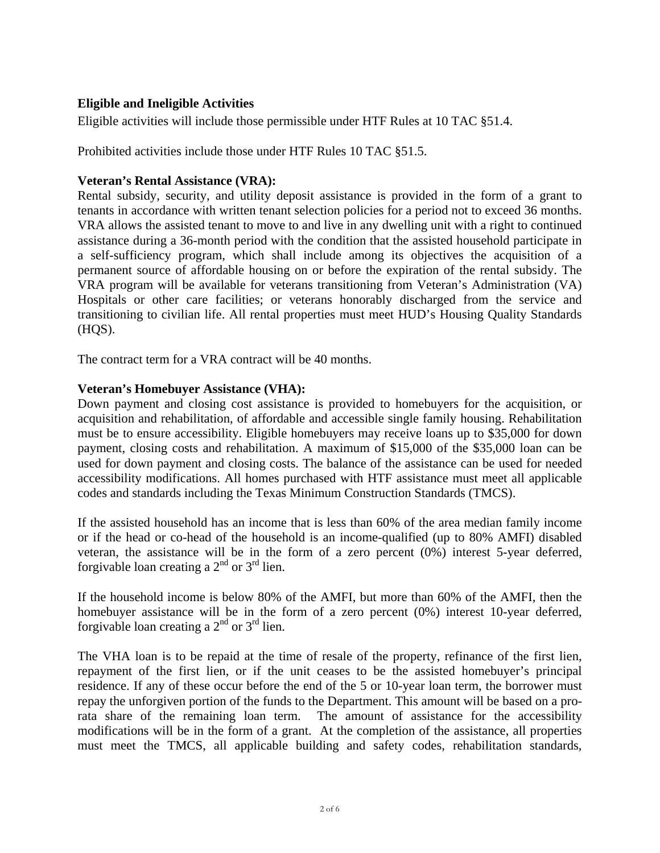# **Eligible and Ineligible Activities**

Eligible activities will include those permissible under HTF Rules at 10 TAC §51.4.

Prohibited activities include those under HTF Rules 10 TAC §51.5.

# **Veteran's Rental Assistance (VRA):**

Rental subsidy, security, and utility deposit assistance is provided in the form of a grant to tenants in accordance with written tenant selection policies for a period not to exceed 36 months. VRA allows the assisted tenant to move to and live in any dwelling unit with a right to continued assistance during a 36-month period with the condition that the assisted household participate in a self-sufficiency program, which shall include among its objectives the acquisition of a permanent source of affordable housing on or before the expiration of the rental subsidy. The VRA program will be available for veterans transitioning from Veteran's Administration (VA) Hospitals or other care facilities; or veterans honorably discharged from the service and transitioning to civilian life. All rental properties must meet HUD's Housing Quality Standards (HQS).

The contract term for a VRA contract will be 40 months.

#### **Veteran's Homebuyer Assistance (VHA):**

Down payment and closing cost assistance is provided to homebuyers for the acquisition, or acquisition and rehabilitation, of affordable and accessible single family housing. Rehabilitation must be to ensure accessibility. Eligible homebuyers may receive loans up to \$35,000 for down payment, closing costs and rehabilitation. A maximum of \$15,000 of the \$35,000 loan can be used for down payment and closing costs. The balance of the assistance can be used for needed accessibility modifications. All homes purchased with HTF assistance must meet all applicable codes and standards including the Texas Minimum Construction Standards (TMCS).

If the assisted household has an income that is less than 60% of the area median family income or if the head or co-head of the household is an income-qualified (up to 80% AMFI) disabled veteran, the assistance will be in the form of a zero percent (0%) interest 5-year deferred, forgivable loan creating a  $2<sup>nd</sup>$  or  $3<sup>rd</sup>$  lien.

If the household income is below 80% of the AMFI, but more than 60% of the AMFI, then the homebuyer assistance will be in the form of a zero percent (0%) interest 10-year deferred, forgivable loan creating a  $2<sup>nd</sup>$  or  $3<sup>rd</sup>$  lien.

The VHA loan is to be repaid at the time of resale of the property, refinance of the first lien, repayment of the first lien, or if the unit ceases to be the assisted homebuyer's principal residence. If any of these occur before the end of the 5 or 10-year loan term, the borrower must repay the unforgiven portion of the funds to the Department. This amount will be based on a prorata share of the remaining loan term. The amount of assistance for the accessibility modifications will be in the form of a grant. At the completion of the assistance, all properties must meet the TMCS, all applicable building and safety codes, rehabilitation standards,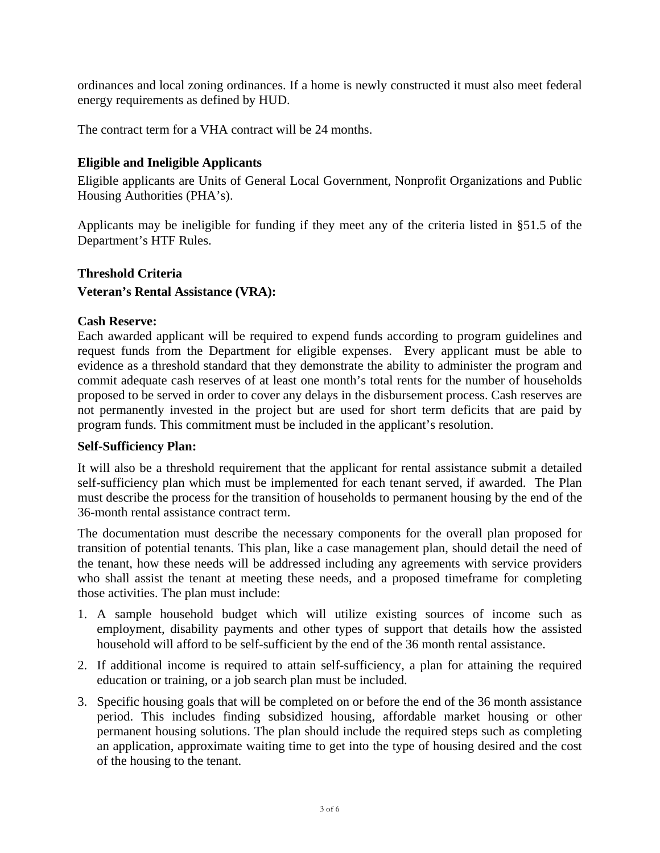ordinances and local zoning ordinances. If a home is newly constructed it must also meet federal energy requirements as defined by HUD.

The contract term for a VHA contract will be 24 months.

# **Eligible and Ineligible Applicants**

Eligible applicants are Units of General Local Government, Nonprofit Organizations and Public Housing Authorities (PHA's).

Applicants may be ineligible for funding if they meet any of the criteria listed in §51.5 of the Department's HTF Rules.

#### **Threshold Criteria**

#### **Veteran's Rental Assistance (VRA):**

#### **Cash Reserve:**

Each awarded applicant will be required to expend funds according to program guidelines and request funds from the Department for eligible expenses. Every applicant must be able to evidence as a threshold standard that they demonstrate the ability to administer the program and commit adequate cash reserves of at least one month's total rents for the number of households proposed to be served in order to cover any delays in the disbursement process. Cash reserves are not permanently invested in the project but are used for short term deficits that are paid by program funds. This commitment must be included in the applicant's resolution.

#### **Self-Sufficiency Plan:**

It will also be a threshold requirement that the applicant for rental assistance submit a detailed self-sufficiency plan which must be implemented for each tenant served, if awarded. The Plan must describe the process for the transition of households to permanent housing by the end of the 36-month rental assistance contract term.

The documentation must describe the necessary components for the overall plan proposed for transition of potential tenants. This plan, like a case management plan, should detail the need of the tenant, how these needs will be addressed including any agreements with service providers who shall assist the tenant at meeting these needs, and a proposed timeframe for completing those activities. The plan must include:

- 1. A sample household budget which will utilize existing sources of income such as employment, disability payments and other types of support that details how the assisted household will afford to be self-sufficient by the end of the 36 month rental assistance.
- 2. If additional income is required to attain self-sufficiency, a plan for attaining the required education or training, or a job search plan must be included.
- 3. Specific housing goals that will be completed on or before the end of the 36 month assistance period. This includes finding subsidized housing, affordable market housing or other permanent housing solutions. The plan should include the required steps such as completing an application, approximate waiting time to get into the type of housing desired and the cost of the housing to the tenant.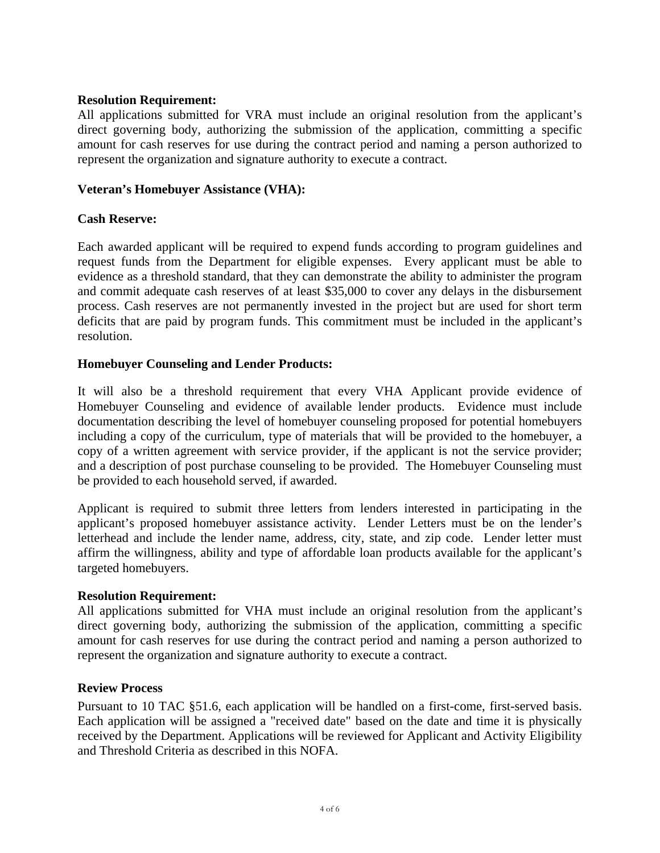#### **Resolution Requirement:**

All applications submitted for VRA must include an original resolution from the applicant's direct governing body, authorizing the submission of the application, committing a specific amount for cash reserves for use during the contract period and naming a person authorized to represent the organization and signature authority to execute a contract.

# **Veteran's Homebuyer Assistance (VHA):**

# **Cash Reserve:**

Each awarded applicant will be required to expend funds according to program guidelines and request funds from the Department for eligible expenses. Every applicant must be able to evidence as a threshold standard, that they can demonstrate the ability to administer the program and commit adequate cash reserves of at least \$35,000 to cover any delays in the disbursement process. Cash reserves are not permanently invested in the project but are used for short term deficits that are paid by program funds. This commitment must be included in the applicant's resolution.

# **Homebuyer Counseling and Lender Products:**

It will also be a threshold requirement that every VHA Applicant provide evidence of Homebuyer Counseling and evidence of available lender products. Evidence must include documentation describing the level of homebuyer counseling proposed for potential homebuyers including a copy of the curriculum, type of materials that will be provided to the homebuyer, a copy of a written agreement with service provider, if the applicant is not the service provider; and a description of post purchase counseling to be provided. The Homebuyer Counseling must be provided to each household served, if awarded.

Applicant is required to submit three letters from lenders interested in participating in the applicant's proposed homebuyer assistance activity. Lender Letters must be on the lender's letterhead and include the lender name, address, city, state, and zip code. Lender letter must affirm the willingness, ability and type of affordable loan products available for the applicant's targeted homebuyers.

#### **Resolution Requirement:**

All applications submitted for VHA must include an original resolution from the applicant's direct governing body, authorizing the submission of the application, committing a specific amount for cash reserves for use during the contract period and naming a person authorized to represent the organization and signature authority to execute a contract.

#### **Review Process**

Pursuant to 10 TAC §51.6, each application will be handled on a first-come, first-served basis. Each application will be assigned a "received date" based on the date and time it is physically received by the Department. Applications will be reviewed for Applicant and Activity Eligibility and Threshold Criteria as described in this NOFA.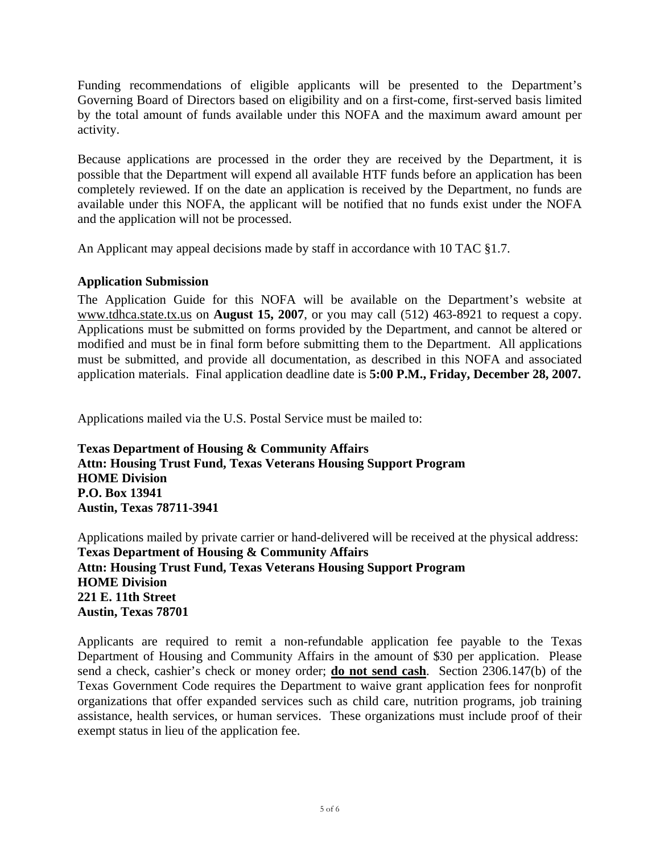Funding recommendations of eligible applicants will be presented to the Department's Governing Board of Directors based on eligibility and on a first-come, first-served basis limited by the total amount of funds available under this NOFA and the maximum award amount per activity.

Because applications are processed in the order they are received by the Department, it is possible that the Department will expend all available HTF funds before an application has been completely reviewed. If on the date an application is received by the Department, no funds are available under this NOFA, the applicant will be notified that no funds exist under the NOFA and the application will not be processed.

An Applicant may appeal decisions made by staff in accordance with 10 TAC §1.7.

# **Application Submission**

The Application Guide for this NOFA will be available on the Department's website at [www.tdhca.state.tx.us](http://www.tdhca.state.tx.us/) on **August 15, 2007**, or you may call (512) 463-8921 to request a copy. Applications must be submitted on forms provided by the Department, and cannot be altered or modified and must be in final form before submitting them to the Department. All applications must be submitted, and provide all documentation, as described in this NOFA and associated application materials. Final application deadline date is **5:00 P.M., Friday, December 28, 2007.** 

Applications mailed via the U.S. Postal Service must be mailed to:

**Texas Department of Housing & Community Affairs Attn: Housing Trust Fund, Texas Veterans Housing Support Program HOME Division P.O. Box 13941 Austin, Texas 78711-3941** 

Applications mailed by private carrier or hand-delivered will be received at the physical address: **Texas Department of Housing & Community Affairs Attn: Housing Trust Fund, Texas Veterans Housing Support Program HOME Division 221 E. 11th Street Austin, Texas 78701** 

Applicants are required to remit a non-refundable application fee payable to the Texas Department of Housing and Community Affairs in the amount of \$30 per application. Please send a check, cashier's check or money order; **do not send cash**.Section 2306.147(b) of the Texas Government Code requires the Department to waive grant application fees for nonprofit organizations that offer expanded services such as child care, nutrition programs, job training assistance, health services, or human services. These organizations must include proof of their exempt status in lieu of the application fee.